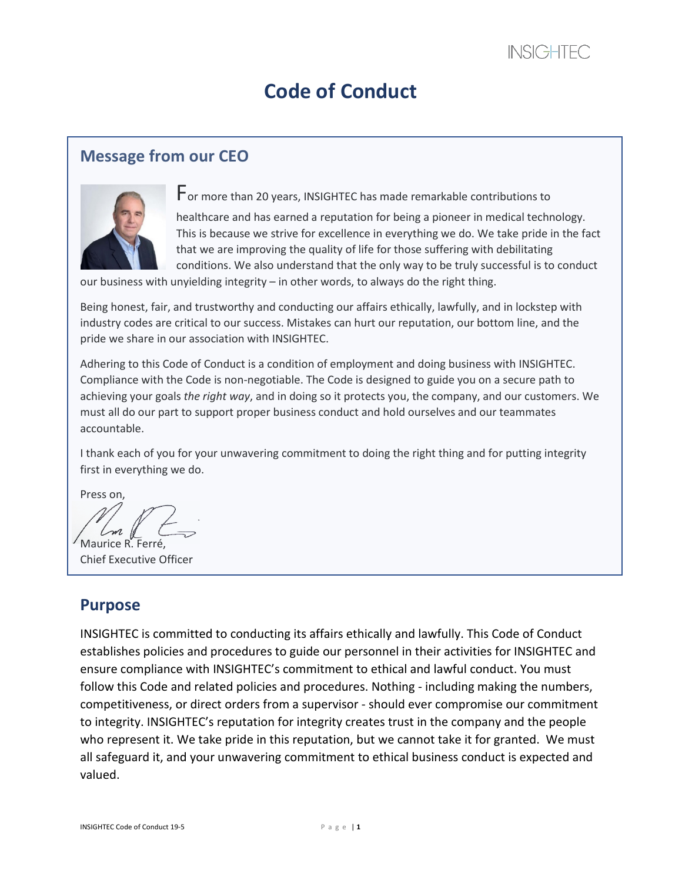# **Code of Conduct**

### **Message from our CEO**



For more than 20 years, INSIGHTEC has made remarkable contributions to healthcare and has earned a reputation for being a pioneer in medical technology. This is because we strive for excellence in everything we do. We take pride in the fact that we are improving the quality of life for those suffering with debilitating conditions. We also understand that the only way to be truly successful is to conduct

our business with unyielding integrity – in other words, to always do the right thing.

Being honest, fair, and trustworthy and conducting our affairs ethically, lawfully, and in lockstep with industry codes are critical to our success. Mistakes can hurt our reputation, our bottom line, and the pride we share in our association with INSIGHTEC.

Adhering to this Code of Conduct is a condition of employment and doing business with INSIGHTEC. Compliance with the Code is non-negotiable. The Code is designed to guide you on a secure path to achieving your goals *the right way*, and in doing so it protects you, the company, and our customers. We must all do our part to support proper business conduct and hold ourselves and our teammates accountable.

I thank each of you for your unwavering commitment to doing the right thing and for putting integrity first in everything we do.

Press on,

Maurice R. Ferré,

Chief Executive Officer

#### **Purpose**

INSIGHTEC is committed to conducting its affairs ethically and lawfully. This Code of Conduct establishes policies and procedures to guide our personnel in their activities for INSIGHTEC and ensure compliance with INSIGHTEC's commitment to ethical and lawful conduct. You must follow this Code and related policies and procedures. Nothing - including making the numbers, competitiveness, or direct orders from a supervisor - should ever compromise our commitment to integrity. INSIGHTEC's reputation for integrity creates trust in the company and the people who represent it. We take pride in this reputation, but we cannot take it for granted. We must all safeguard it, and your unwavering commitment to ethical business conduct is expected and valued.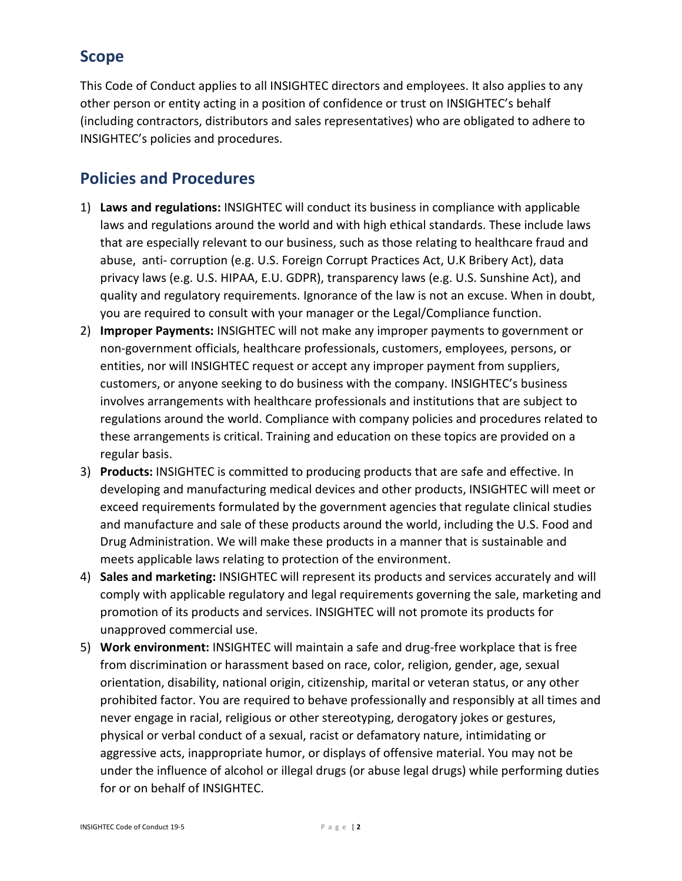#### **Scope**

This Code of Conduct applies to all INSIGHTEC directors and employees. It also applies to any other person or entity acting in a position of confidence or trust on INSIGHTEC's behalf (including contractors, distributors and sales representatives) who are obligated to adhere to INSIGHTEC's policies and procedures.

#### **Policies and Procedures**

- 1) **Laws and regulations:** INSIGHTEC will conduct its business in compliance with applicable laws and regulations around the world and with high ethical standards. These include laws that are especially relevant to our business, such as those relating to healthcare fraud and abuse, anti- corruption (e.g. U.S. Foreign Corrupt Practices Act, U.K Bribery Act), data privacy laws (e.g. U.S. HIPAA, E.U. GDPR), transparency laws (e.g. U.S. Sunshine Act), and quality and regulatory requirements. Ignorance of the law is not an excuse. When in doubt, you are required to consult with your manager or the Legal/Compliance function.
- 2) **Improper Payments:** INSIGHTEC will not make any improper payments to government or non-government officials, healthcare professionals, customers, employees, persons, or entities, nor will INSIGHTEC request or accept any improper payment from suppliers, customers, or anyone seeking to do business with the company. INSIGHTEC's business involves arrangements with healthcare professionals and institutions that are subject to regulations around the world. Compliance with company policies and procedures related to these arrangements is critical. Training and education on these topics are provided on a regular basis.
- 3) **Products:** INSIGHTEC is committed to producing products that are safe and effective. In developing and manufacturing medical devices and other products, INSIGHTEC will meet or exceed requirements formulated by the government agencies that regulate clinical studies and manufacture and sale of these products around the world, including the U.S. Food and Drug Administration. We will make these products in a manner that is sustainable and meets applicable laws relating to protection of the environment.
- 4) **Sales and marketing:** INSIGHTEC will represent its products and services accurately and will comply with applicable regulatory and legal requirements governing the sale, marketing and promotion of its products and services. INSIGHTEC will not promote its products for unapproved commercial use.
- 5) **Work environment:** INSIGHTEC will maintain a safe and drug-free workplace that is free from discrimination or harassment based on race, color, religion, gender, age, sexual orientation, disability, national origin, citizenship, marital or veteran status, or any other prohibited factor. You are required to behave professionally and responsibly at all times and never engage in racial, religious or other stereotyping, derogatory jokes or gestures, physical or verbal conduct of a sexual, racist or defamatory nature, intimidating or aggressive acts, inappropriate humor, or displays of offensive material. You may not be under the influence of alcohol or illegal drugs (or abuse legal drugs) while performing duties for or on behalf of INSIGHTEC.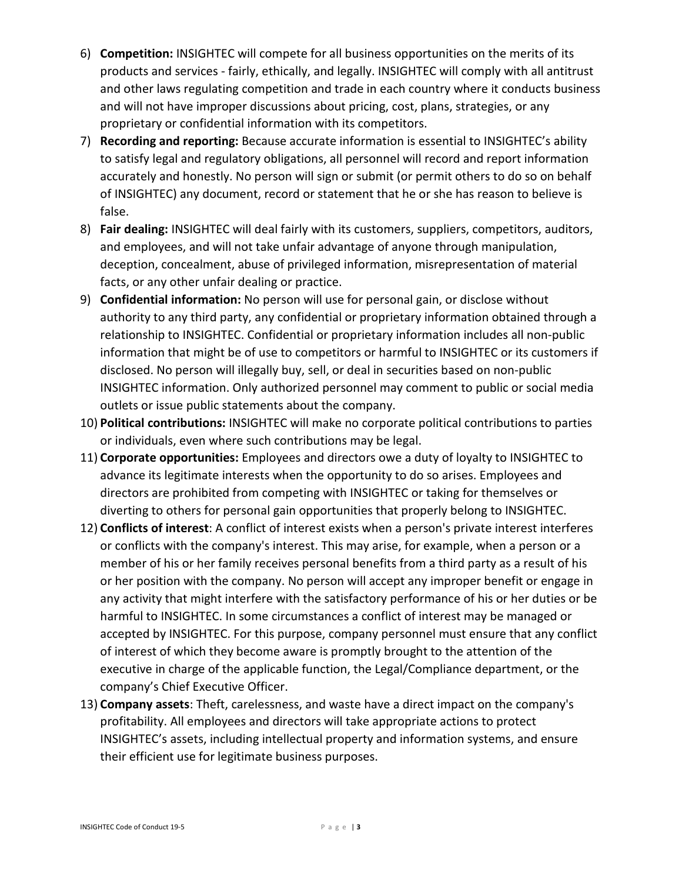- 6) **Competition:** INSIGHTEC will compete for all business opportunities on the merits of its products and services - fairly, ethically, and legally. INSIGHTEC will comply with all antitrust and other laws regulating competition and trade in each country where it conducts business and will not have improper discussions about pricing, cost, plans, strategies, or any proprietary or confidential information with its competitors.
- 7) **Recording and reporting:** Because accurate information is essential to INSIGHTEC's ability to satisfy legal and regulatory obligations, all personnel will record and report information accurately and honestly. No person will sign or submit (or permit others to do so on behalf of INSIGHTEC) any document, record or statement that he or she has reason to believe is false.
- 8) **Fair dealing:** INSIGHTEC will deal fairly with its customers, suppliers, competitors, auditors, and employees, and will not take unfair advantage of anyone through manipulation, deception, concealment, abuse of privileged information, misrepresentation of material facts, or any other unfair dealing or practice.
- 9) **Confidential information:** No person will use for personal gain, or disclose without authority to any third party, any confidential or proprietary information obtained through a relationship to INSIGHTEC. Confidential or proprietary information includes all non-public information that might be of use to competitors or harmful to INSIGHTEC or its customers if disclosed. No person will illegally buy, sell, or deal in securities based on non-public INSIGHTEC information. Only authorized personnel may comment to public or social media outlets or issue public statements about the company.
- 10) **Political contributions:** INSIGHTEC will make no corporate political contributions to parties or individuals, even where such contributions may be legal.
- 11) **Corporate opportunities:** Employees and directors owe a duty of loyalty to INSIGHTEC to advance its legitimate interests when the opportunity to do so arises. Employees and directors are prohibited from competing with INSIGHTEC or taking for themselves or diverting to others for personal gain opportunities that properly belong to INSIGHTEC.
- 12) **Conflicts of interest**: A conflict of interest exists when a person's private interest interferes or conflicts with the company's interest. This may arise, for example, when a person or a member of his or her family receives personal benefits from a third party as a result of his or her position with the company. No person will accept any improper benefit or engage in any activity that might interfere with the satisfactory performance of his or her duties or be harmful to INSIGHTEC. In some circumstances a conflict of interest may be managed or accepted by INSIGHTEC. For this purpose, company personnel must ensure that any conflict of interest of which they become aware is promptly brought to the attention of the executive in charge of the applicable function, the Legal/Compliance department, or the company's Chief Executive Officer.
- 13) **Company assets**: Theft, carelessness, and waste have a direct impact on the company's profitability. All employees and directors will take appropriate actions to protect INSIGHTEC's assets, including intellectual property and information systems, and ensure their efficient use for legitimate business purposes.